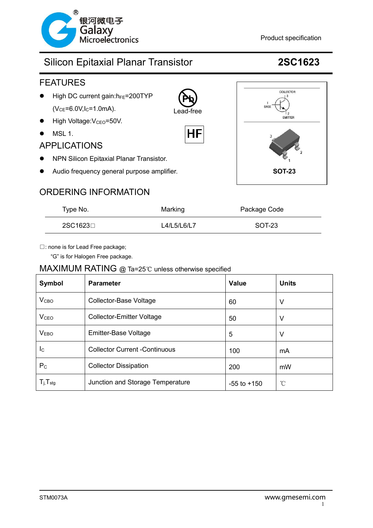

### roelectronics example and the extra specification

# Silicon Epitaxial Planar Transistor **2SC1623**



## ORDERING INFORMATION

| Type No. | Marking     | Package Code |
|----------|-------------|--------------|
| 2SC1623⊟ | L4/L5/L6/L7 | SOT-23       |

□: none is for Lead Free package;

"G" is for Halogen Free package.

### MAXIMUM RATING @ Ta=25℃ unless otherwise specified

| Symbol                     | <b>Parameter</b>                     | <b>Value</b>    | <b>Units</b>    |
|----------------------------|--------------------------------------|-----------------|-----------------|
| V <sub>CBO</sub>           | <b>Collector-Base Voltage</b>        | 60              | v               |
| V <sub>CEO</sub>           | <b>Collector-Emitter Voltage</b>     | 50              | V               |
| <b>VEBO</b>                | Emitter-Base Voltage                 | 5               | v               |
| $I_{\rm C}$                | <b>Collector Current -Continuous</b> | 100             | mA              |
| $P_{C}$                    | <b>Collector Dissipation</b>         | 200             | mW              |
| $T_{j}$ , $T_{\text{stg}}$ | Junction and Storage Temperature     | $-55$ to $+150$ | $\rm ^{\circ}C$ |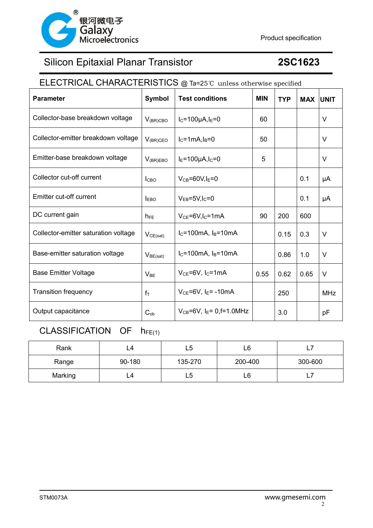

# Silicon Epitaxial Planar Transistor **2SC1623**

# ELECTRICAL CHARACTERISTICS @ Ta=25℃ unless otherwise specified

| <b>Parameter</b>                     | Symbol                  | <b>Test conditions</b>                         | <b>MIN</b> | <b>TYP</b> | <b>MAX UNIT</b> |            |
|--------------------------------------|-------------------------|------------------------------------------------|------------|------------|-----------------|------------|
| Collector-base breakdown voltage     | $V_{(BR)CBO}$           | $I_C = 100 \mu A, I_E = 0$                     | 60         |            |                 | V          |
| Collector-emitter breakdown voltage  | $V_{(BR)CEO}$           | $I_C = 1mA$ , $I_B = 0$                        | 50         |            |                 | $\vee$     |
| Emitter-base breakdown voltage       | $V_{(BR)EBO}$           | $I_E = 100 \mu A I_C = 0$                      | 5          |            |                 | V          |
| Collector cut-off current            | <b>I</b> <sub>CBO</sub> | $V_{CB} = 60V, I_E = 0$                        |            |            | 0.1             | μA         |
| Emitter cut-off current              | $I_{EBO}$               | $V_{EB} = 5V I_C = 0$                          |            |            | 0.1             | μA         |
| DC current gain                      | $h_{FE}$                | $V_{CE} = 6V I_{C} = 1mA$                      | 90         | 200        | 600             |            |
| Collector-emitter saturation voltage | $V_{CE(sat)}$           | $I_C = 100mA$ , $I_B = 10mA$                   |            | 0.15       | 0.3             | V          |
| Base-emitter saturation voltage      | $V_{BE(sat)}$           | $IC=100mA, IB=10mA$                            |            | 0.86       | 1.0             | V          |
| <b>Base Emitter Voltage</b>          | $V_{BE}$                | $V_{CE}$ =6V, $I_C$ =1mA                       | 0.55       | 0.62       | 0.65            | V          |
| <b>Transition frequency</b>          | $f_T$                   | $V_{CE}$ =6V, I <sub>E</sub> =-10mA            |            | 250        |                 | <b>MHz</b> |
| Output capacitance                   | $C_{ob}$                | $V_{CB} = 6V$ , I <sub>E</sub> = 0, f = 1.0MHz |            | 3.0        |                 | рF         |

# CLASSIFICATION OF  $h_{FE(1)}$

| Rank    | L4     | L5      | L6      | - 1     |
|---------|--------|---------|---------|---------|
| Range   | 90-180 | 135-270 | 200-400 | 300-600 |
| Marking | ∟4     | L5      | L6      | -       |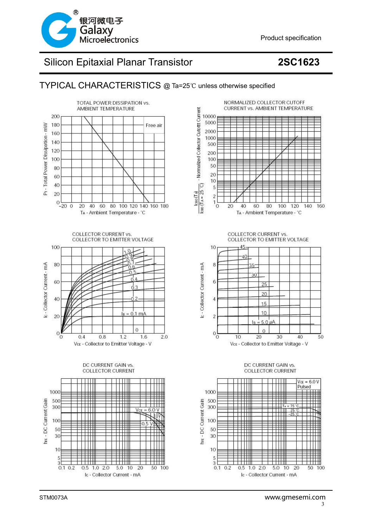

# Silicon Epitaxial Planar Transistor **2SC1623**

### TYPICAL CHARACTERISTICS @ Ta=25℃ unless otherwise specified









**COLLECTOR CURRENT vs. COLLECTOR TO EMITTER VOLTAGE** 



### DC CURRENT GAIN vs. **COLLECTOR CURRENT**